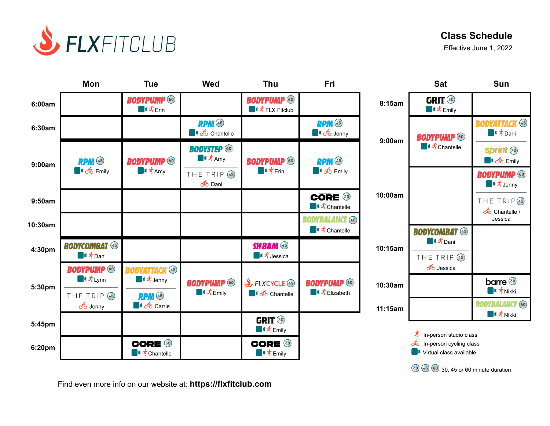

# **Class Schedule**

Effective June 1, 2022



Find even more info on our website at: **https://flxfitclub.com**